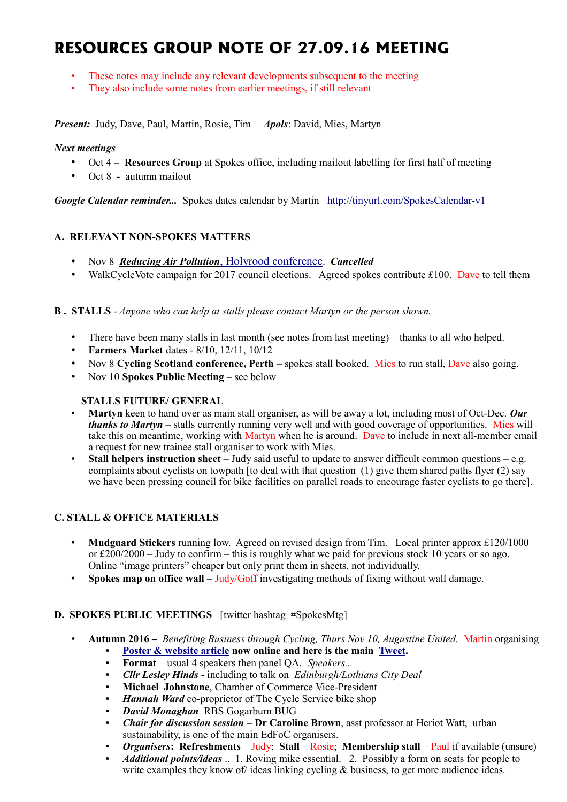# **RESOURCES GROUP NOTE OF 27.09.16 MEETING**

- These notes may include any relevant developments subsequent to the meeting
- They also include some notes from earlier meetings, if still relevant

*Present:* Judy, Dave, Paul, Martin, Rosie, Tim *Apols*: David, Mies, Martyn

## *Next meetings*

- Oct 4 **Resources Group** at Spokes office, including mailout labelling for first half of meeting
- Oct 8 autumn mailout

*Google Calendar reminder...* Spokes dates calendar by Martin <http://tinyurl.com/SpokesCalendar-v1>

# **A. RELEVANT NON-SPOKES MATTERS**

- Nov 8 *[Reducing Air Pollution](https://www.holyrood.com/event/reducing-air-pollution)*[, Holyrood conference](https://www.holyrood.com/event/reducing-air-pollution). *Cancelled*
- WalkCycleVote campaign for 2017 council elections. Agreed spokes contribute £100. Dave to tell them

## **B . STALLS** - *Anyone who can help at stalls please contact Martyn or the person shown.*

- There have been many stalls in last month (see notes from last meeting) thanks to all who helped.
- **Farmers Market** dates 8/10, 12/11, 10/12
- Nov 8 **[Cycling Scotland conference, Perth](http://cyclingscotlandconference.org/)** spokes stall booked. Mies to run stall, Dave also going.
- Nov 10 **Spokes Public Meeting** see below

## **STALLS FUTURE/ GENERAL**

- **Martyn** keen to hand over as main stall organiser, as will be away a lot, including most of Oct-Dec. *Our thanks to Martyn* – stalls currently running very well and with good coverage of opportunities. Mies will take this on meantime, working with Martyn when he is around. Dave to include in next all-member email a request for new trainee stall organiser to work with Mies.
- **Stall helpers instruction sheet**  Judy said useful to update to answer difficult common questions e.g. complaints about cyclists on towpath [to deal with that question (1) give them shared paths flyer (2) say we have been pressing council for bike facilities on parallel roads to encourage faster cyclists to go there].

# **C. STALL & OFFICE MATERIALS**

- **Mudguard Stickers** running low. Agreed on revised design from Tim. Local printer approx £120/1000 or  $\text{\pounds}200/2000 - \text{July to confirm} - \text{this is roughly what we paid for previous stock 10 years or so ago.}$ Online "image printers" cheaper but only print them in sheets, not individually.
- **Spokes map on office wall** Judy/Goff investigating methods of fixing without wall damage.

## **D. SPOKES PUBLIC MEETINGS** [twitter hashtag #SpokesMtg]

- **Autumn 2016 –** *Benefiting Business through Cycling, Thurs Nov 10, Augustine United.* Martin organising
	- [Poster & website article](http://www.spokes.org.uk/2016/08/public-meeting-benefiting-business-through-cycling/) now online and here is the main [Tweet.](https://twitter.com/SpokesLothian/status/769474111689089024)
	- **Format** usual 4 speakers then panel QA. *Speakers...*
	- *Cllr Lesley Hinds* including to talk on *Edinburgh/Lothians City Deal*
	- **Michael Johnstone, Chamber of Commerce Vice-President**
	- Hannah Ward co-proprietor of The Cycle Service bike shop
	- *David Monaghan* RBS Gogarburn BUG
	- *Chair for discussion session* **Dr Caroline Brown**, asst professor at Heriot Watt, urban sustainability, is one of the main EdFoC organisers.
	- *Organisers***: Refreshments** Judy: Stall Rosie; Membership stall Paul if available (unsure)
	- *Additional points/ideas* .. 1. Roving mike essential. 2. Possibly a form on seats for people to write examples they know of ideas linking cycling  $\&$  business, to get more audience ideas.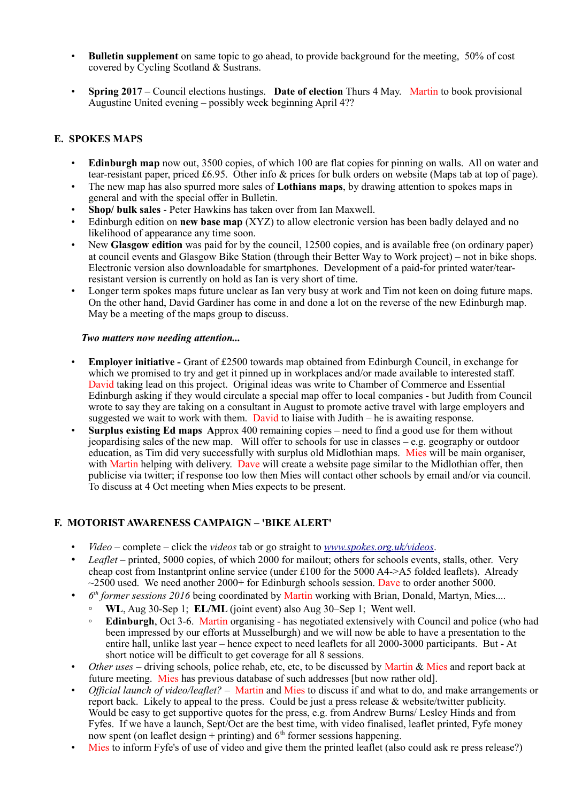- **Bulletin supplement** on same topic to go ahead, to provide background for the meeting, 50% of cost covered by Cycling Scotland & Sustrans.
- **Spring 2017** Council elections hustings. **Date of election** Thurs 4 May. Martin to book provisional Augustine United evening – possibly week beginning April 4??

# **E. SPOKES MAPS**

- **Edinburgh map** now out, 3500 copies, of which 100 are flat copies for pinning on walls. All on water and tear-resistant paper, priced £6.95. Other info & prices for bulk orders on website (Maps tab at top of page).
- The new map has also spurred more sales of **Lothians maps**, by drawing attention to spokes maps in general and with the special offer in Bulletin.
- **Shop/ bulk sales** Peter Hawkins has taken over from Ian Maxwell.
- Edinburgh edition on **new base map** (XYZ) to allow electronic version has been badly delayed and no likelihood of appearance any time soon.
- New **Glasgow edition** was paid for by the council, 12500 copies, and is available free (on ordinary paper) at council events and Glasgow Bike Station (through their Better Way to Work project) – not in bike shops. Electronic version also downloadable for smartphones. Development of a paid-for printed water/tearresistant version is currently on hold as Ian is very short of time.
- Longer term spokes maps future unclear as Ian very busy at work and Tim not keen on doing future maps. On the other hand, David Gardiner has come in and done a lot on the reverse of the new Edinburgh map. May be a meeting of the maps group to discuss.

### *Two matters now needing attention...*

- **Employer initiative** Grant of £2500 towards map obtained from Edinburgh Council, in exchange for which we promised to try and get it pinned up in workplaces and/or made available to interested staff. David taking lead on this project. Original ideas was write to Chamber of Commerce and Essential Edinburgh asking if they would circulate a special map offer to local companies - but Judith from Council wrote to say they are taking on a consultant in August to promote active travel with large employers and suggested we wait to work with them. David to liaise with Judith – he is awaiting response.
- **Surplus existing Ed maps A**pprox 400 remaining copies need to find a good use for them without jeopardising sales of the new map. Will offer to schools for use in classes – e.g. geography or outdoor education, as Tim did very successfully with surplus old Midlothian maps. Mies will be main organiser, with Martin helping with delivery. Dave will create a website page similar to the Midlothian offer, then publicise via twitter; if response too low then Mies will contact other schools by email and/or via council. To discuss at 4 Oct meeting when Mies expects to be present.

## **F. MOTORIST AWARENESS CAMPAIGN – 'BIKE ALERT'**

- *Video*  complete click the *videos* tab or go straight to *[www.spokes.org.uk/videos](http://www.spokes.org.uk/videos)*.
- *Leaflet* printed, 5000 copies, of which 2000 for mailout; others for schools events, stalls, other. Very cheap cost from Instantprint online service (under £100 for the 5000 A4->A5 folded leaflets). Already  $\sim$ 2500 used. We need another 2000+ for Edinburgh schools session. Dave to order another 5000.
- *6 th former sessions 2016* being coordinated by Martin working with Brian, Donald, Martyn, Mies....
	- **WL**, Aug 30-Sep 1; **EL/ML** (joint event) also Aug 30–Sep 1; Went well.
	- **Edinburgh**, Oct 3-6. Martin organising has negotiated extensively with Council and police (who had been impressed by our efforts at Musselburgh) and we will now be able to have a presentation to the entire hall, unlike last year – hence expect to need leaflets for all 2000-3000 participants. But - At short notice will be difficult to get coverage for all 8 sessions.
- *Other uses* driving schools, police rehab, etc, etc, to be discussed by Martin & Mies and report back at future meeting. Mies has previous database of such addresses [but now rather old].
- *Official launch of video/leaflet?* Martin and Mies to discuss if and what to do, and make arrangements or report back. Likely to appeal to the press. Could be just a press release & website/twitter publicity. Would be easy to get supportive quotes for the press, e.g. from Andrew Burns/ Lesley Hinds and from Fyfes. If we have a launch, Sept/Oct are the best time, with video finalised, leaflet printed, Fyfe money now spent (on leaflet design + printing) and  $6<sup>th</sup>$  former sessions happening.
- Mies to inform Fyfe's of use of video and give them the printed leaflet (also could ask re press release?)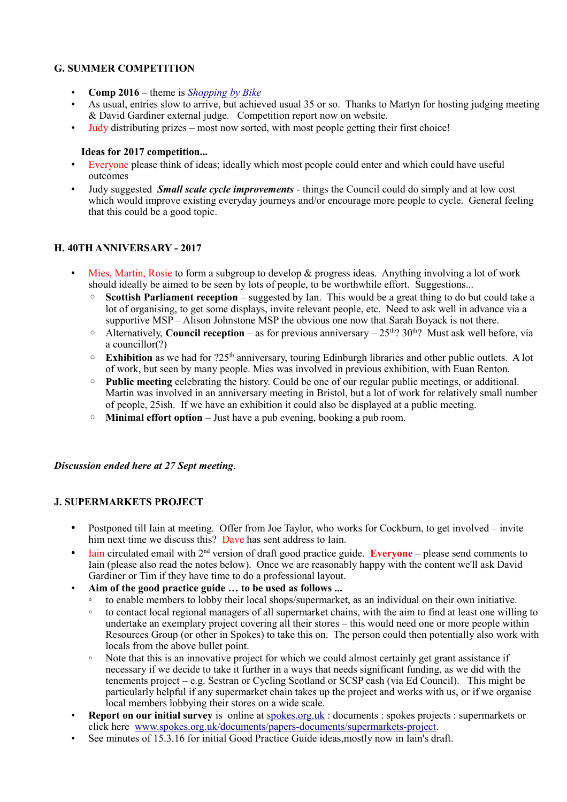## **G. SUMMER COMPETITION**

- **Comp 2016** theme is *[Shopping by Bike](http://www.spokes.org.uk/2016/07/competition-shopping-by-bike/)*
- As usual, entries slow to arrive, but achieved usual 35 or so. Thanks to Martyn for hosting judging meeting & David Gardiner external judge. Competition report now on website.
- Judy distributing prizes most now sorted, with most people getting their first choice!

## **Ideas for 2017 competition...**

- Everyone please think of ideas; ideally which most people could enter and which could have useful outcomes
- Judy suggested *Small scale cycle improvements* things the Council could do simply and at low cost which would improve existing everyday journeys and/or encourage more people to cycle. General feeling that this could be a good topic.

## **H. 40TH ANNIVERSARY - 2017**

- Mies, Martin, Rosie to form a subgroup to develop & progress ideas. Anything involving a lot of work should ideally be aimed to be seen by lots of people, to be worthwhile effort. Suggestions...
	- **Scottish Parliament reception** suggested by Ian. This would be a great thing to do but could take a lot of organising, to get some displays, invite relevant people, etc. Need to ask well in advance via a supportive MSP – Alison Johnstone MSP the obvious one now that Sarah Boyack is not there.
	- $\degree$  Alternatively, **Council reception** as for previous anniversary 25<sup>th</sup>? 30<sup>th</sup>? Must ask well before, via a councillor(?)
	- $\circ$  **Exhibition** as we had for ?25<sup>th</sup> anniversary, touring Edinburgh libraries and other public outlets. A lot of work, but seen by many people. Mies was involved in previous exhibition, with Euan Renton.
	- **Public meeting** celebrating the history. Could be one of our regular public meetings, or additional. Martin was involved in an anniversary meeting in Bristol, but a lot of work for relatively small number of people, 25ish. If we have an exhibition it could also be displayed at a public meeting.
	- **Minimal effort option** Just have a pub evening, booking a pub room.

### *Discussion ended here at 27 Sept meeting*.

### **J. SUPERMARKETS PROJECT**

- Postponed till Iain at meeting. Offer from Joe Taylor, who works for Cockburn, to get involved invite him next time we discuss this? Dave has sent address to Iain.
- **Iain circulated email with**  $2<sup>nd</sup>$  **version of draft good practice guide. <b>Everyone** please send comments to Iain (please also read the notes below). Once we are reasonably happy with the content we'll ask David Gardiner or Tim if they have time to do a professional layout.
- **Aim of the good practice guide … to be used as follows ...**
	- to enable members to lobby their local shops/supermarket, as an individual on their own initiative.
	- to contact local regional managers of all supermarket chains, with the aim to find at least one willing to undertake an exemplary project covering all their stores – this would need one or more people within Resources Group (or other in Spokes) to take this on. The person could then potentially also work with locals from the above bullet point.
	- Note that this is an innovative project for which we could almost certainly get grant assistance if necessary if we decide to take it further in a ways that needs significant funding, as we did with the tenements project – e.g. Sestran or Cycling Scotland or SCSP cash (via Ed Council). This might be particularly helpful if any supermarket chain takes up the project and works with us, or if we organise local members lobbying their stores on a wide scale.
- **Report on our initial survey** is online at [spokes.org.uk](http://spokes.org.uk/) : documents : spokes projects : supermarkets or click here [www.spokes.org.uk/documents/papers-documents/supermarkets-project.](http://www.spokes.org.uk/documents/papers-documents/supermarkets-project)
- See minutes of 15.3.16 for initial Good Practice Guide ideas, mostly now in Iain's draft.